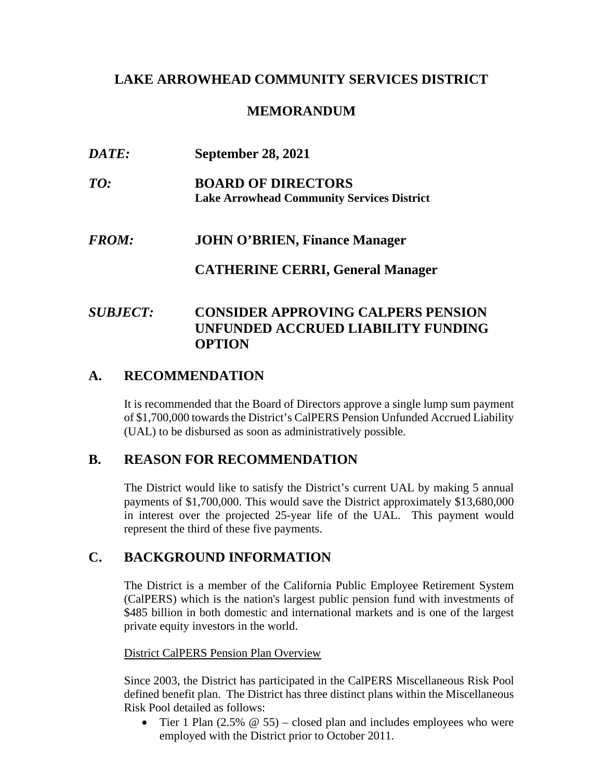## **LAKE ARROWHEAD COMMUNITY SERVICES DISTRICT**

## **MEMORANDUM**

| <i>DATE:</i> | <b>September 28, 2021</b>                                                       |  |  |  |
|--------------|---------------------------------------------------------------------------------|--|--|--|
| TO:          | <b>BOARD OF DIRECTORS</b><br><b>Lake Arrowhead Community Services District</b>  |  |  |  |
| <b>FROM:</b> | <b>JOHN O'BRIEN, Finance Manager</b><br><b>CATHERINE CERRI, General Manager</b> |  |  |  |
|              |                                                                                 |  |  |  |

# *SUBJECT:* **CONSIDER APPROVING CALPERS PENSION UNFUNDED ACCRUED LIABILITY FUNDING OPTION**

# **A. RECOMMENDATION**

It is recommended that the Board of Directors approve a single lump sum payment of \$1,700,000 towards the District's CalPERS Pension Unfunded Accrued Liability (UAL) to be disbursed as soon as administratively possible.

## **B. REASON FOR RECOMMENDATION**

The District would like to satisfy the District's current UAL by making 5 annual payments of \$1,700,000. This would save the District approximately \$13,680,000 in interest over the projected 25-year life of the UAL. This payment would represent the third of these five payments.

# **C. BACKGROUND INFORMATION**

The District is a member of the California Public Employee Retirement System (CalPERS) which is the nation's largest public pension fund with investments of \$485 billion in both domestic and international markets and is one of the largest private equity investors in the world.

### District CalPERS Pension Plan Overview

Since 2003, the District has participated in the CalPERS Miscellaneous Risk Pool defined benefit plan. The District has three distinct plans within the Miscellaneous Risk Pool detailed as follows:

• Tier 1 Plan  $(2.5\% \ @ \ 55)$  – closed plan and includes employees who were employed with the District prior to October 2011.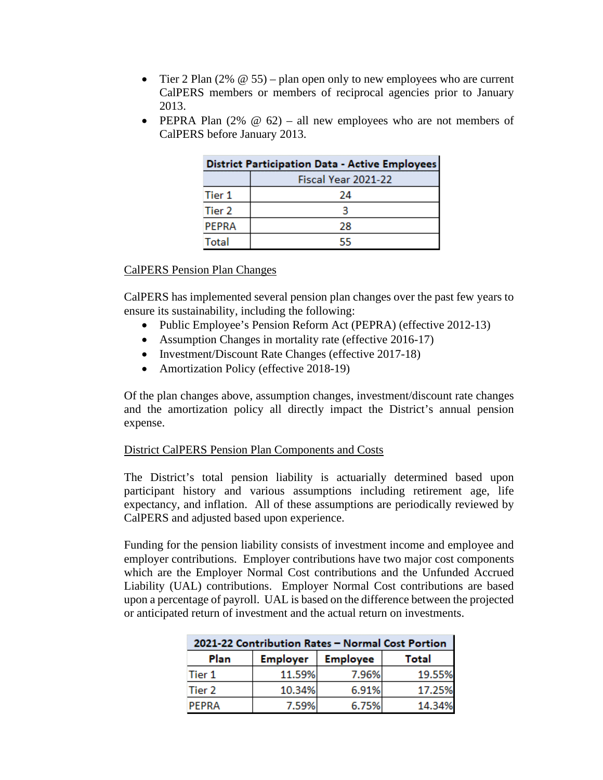- Tier 2 Plan  $(2\% \ @ \ 55)$  plan open only to new employees who are current CalPERS members or members of reciprocal agencies prior to January 2013.
- PEPRA Plan  $(2\% \t@ 62) -$  all new employees who are not members of CalPERS before January 2013.

| <b>District Participation Data - Active Employees</b> |                     |  |  |
|-------------------------------------------------------|---------------------|--|--|
|                                                       | Fiscal Year 2021-22 |  |  |
| Tier 1                                                | 24                  |  |  |
| Tier 2                                                |                     |  |  |
| <b>PFPRA</b>                                          | 28                  |  |  |
| Total                                                 | 55                  |  |  |

#### CalPERS Pension Plan Changes

CalPERS has implemented several pension plan changes over the past few years to ensure its sustainability, including the following:

- Public Employee's Pension Reform Act (PEPRA) (effective 2012-13)
- Assumption Changes in mortality rate (effective 2016-17)
- Investment/Discount Rate Changes (effective 2017-18)
- Amortization Policy (effective 2018-19)

Of the plan changes above, assumption changes, investment/discount rate changes and the amortization policy all directly impact the District's annual pension expense.

#### District CalPERS Pension Plan Components and Costs

The District's total pension liability is actuarially determined based upon participant history and various assumptions including retirement age, life expectancy, and inflation. All of these assumptions are periodically reviewed by CalPERS and adjusted based upon experience.

Funding for the pension liability consists of investment income and employee and employer contributions. Employer contributions have two major cost components which are the Employer Normal Cost contributions and the Unfunded Accrued Liability (UAL) contributions. Employer Normal Cost contributions are based upon a percentage of payroll. UAL is based on the difference between the projected or anticipated return of investment and the actual return on investments.

| 2021-22 Contribution Rates - Normal Cost Portion |                 |                 |              |  |  |  |
|--------------------------------------------------|-----------------|-----------------|--------------|--|--|--|
| Plan                                             | <b>Employer</b> | <b>Employee</b> | <b>Total</b> |  |  |  |
| Tier 1                                           | 11.59%          | 7.96%           | 19.55%       |  |  |  |
| Tier 2                                           | 10.34%          | 6.91%           | 17.25%       |  |  |  |
| <b>PFPRA</b>                                     | 7.59%           | 6.75%           | 14.34%       |  |  |  |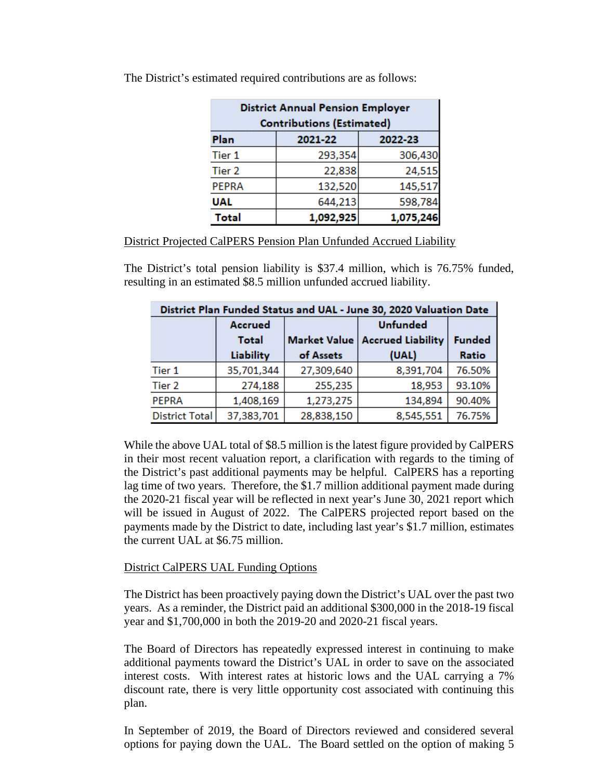| <b>District Annual Pension Employer</b><br><b>Contributions (Estimated)</b> |           |           |  |  |  |  |
|-----------------------------------------------------------------------------|-----------|-----------|--|--|--|--|
| Plan                                                                        | 2021-22   | 2022-23   |  |  |  |  |
| Tier 1                                                                      | 293,354   | 306,430   |  |  |  |  |
| Tier 2                                                                      | 22,838    | 24,515    |  |  |  |  |
| <b>PEPRA</b>                                                                | 132,520   | 145,517   |  |  |  |  |
| <b>UAL</b>                                                                  | 644,213   | 598,784   |  |  |  |  |
| <b>Total</b>                                                                | 1,092,925 | 1,075,246 |  |  |  |  |

The District's estimated required contributions are as follows:

District Projected CalPERS Pension Plan Unfunded Accrued Liability

The District's total pension liability is \$37.4 million, which is 76.75% funded, resulting in an estimated \$8.5 million unfunded accrued liability.

| District Plan Funded Status and UAL - June 30, 2020 Valuation Date |                |                     |                          |               |  |  |  |
|--------------------------------------------------------------------|----------------|---------------------|--------------------------|---------------|--|--|--|
|                                                                    | <b>Accrued</b> |                     | <b>Unfunded</b>          |               |  |  |  |
|                                                                    | Total          | <b>Market Value</b> | <b>Accrued Liability</b> | <b>Funded</b> |  |  |  |
|                                                                    | Liability      | of Assets           | (UAL)                    | Ratio         |  |  |  |
| Tier 1                                                             | 35,701,344     | 27,309,640          | 8,391,704                | 76.50%        |  |  |  |
| Tier <sub>2</sub>                                                  | 274,188        | 255,235             | 18,953                   | 93.10%        |  |  |  |
| <b>PEPRA</b>                                                       | 1,408,169      | 1,273,275           | 134,894                  | 90.40%        |  |  |  |
| <b>District Total</b>                                              | 37,383,701     | 28,838,150          | 8,545,551                | 76.75%        |  |  |  |

While the above UAL total of \$8.5 million is the latest figure provided by CalPERS in their most recent valuation report, a clarification with regards to the timing of the District's past additional payments may be helpful. CalPERS has a reporting lag time of two years. Therefore, the \$1.7 million additional payment made during the 2020-21 fiscal year will be reflected in next year's June 30, 2021 report which will be issued in August of 2022. The CalPERS projected report based on the payments made by the District to date, including last year's \$1.7 million, estimates the current UAL at \$6.75 million.

### District CalPERS UAL Funding Options

The District has been proactively paying down the District's UAL over the past two years. As a reminder, the District paid an additional \$300,000 in the 2018-19 fiscal year and \$1,700,000 in both the 2019-20 and 2020-21 fiscal years.

The Board of Directors has repeatedly expressed interest in continuing to make additional payments toward the District's UAL in order to save on the associated interest costs. With interest rates at historic lows and the UAL carrying a 7% discount rate, there is very little opportunity cost associated with continuing this plan.

In September of 2019, the Board of Directors reviewed and considered several options for paying down the UAL. The Board settled on the option of making 5